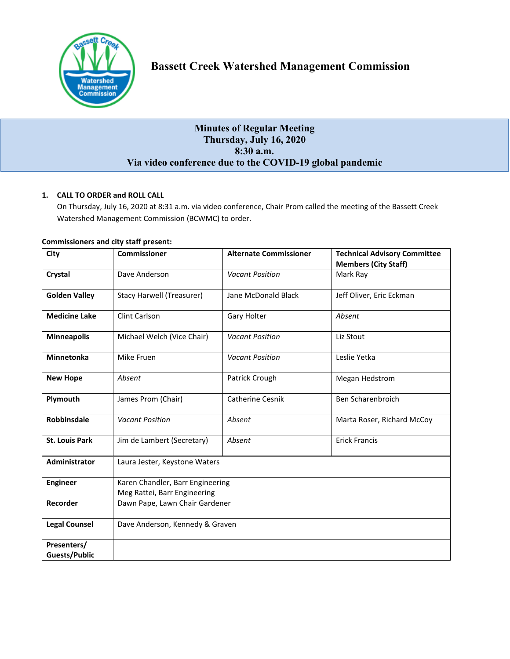

# **Minutes of Regular Meeting Thursday, July 16, 2020 8:30 a.m. Via video conference due to the COVID-19 global pandemic**

# **1. CALL TO ORDER and ROLL CALL**

On Thursday, July 16, 2020 at 8:31 a.m. via video conference, Chair Prom called the meeting of the Bassett Creek Watershed Management Commission (BCWMC) to order.

| City                  | <b>Commissioner</b>                                              | <b>Alternate Commissioner</b> | <b>Technical Advisory Committee</b><br><b>Members (City Staff)</b> |
|-----------------------|------------------------------------------------------------------|-------------------------------|--------------------------------------------------------------------|
| Crystal               | Dave Anderson                                                    | <b>Vacant Position</b>        | Mark Ray                                                           |
| <b>Golden Valley</b>  | <b>Stacy Harwell (Treasurer)</b>                                 | Jane McDonald Black           | Jeff Oliver, Eric Eckman                                           |
| <b>Medicine Lake</b>  | Clint Carlson                                                    | <b>Gary Holter</b>            | Absent                                                             |
| <b>Minneapolis</b>    | Michael Welch (Vice Chair)                                       | <b>Vacant Position</b>        | Liz Stout                                                          |
| <b>Minnetonka</b>     | Mike Fruen                                                       | <b>Vacant Position</b>        | Leslie Yetka                                                       |
| <b>New Hope</b>       | Absent                                                           | Patrick Crough                | Megan Hedstrom                                                     |
| Plymouth              | James Prom (Chair)                                               | Catherine Cesnik              | Ben Scharenbroich                                                  |
| <b>Robbinsdale</b>    | <b>Vacant Position</b>                                           | Absent                        | Marta Roser, Richard McCoy                                         |
| <b>St. Louis Park</b> | Jim de Lambert (Secretary)                                       | Absent                        | <b>Erick Francis</b>                                               |
| <b>Administrator</b>  | Laura Jester, Keystone Waters                                    |                               |                                                                    |
| <b>Engineer</b>       | Karen Chandler, Barr Engineering<br>Meg Rattei, Barr Engineering |                               |                                                                    |
| Recorder              | Dawn Pape, Lawn Chair Gardener                                   |                               |                                                                    |
| <b>Legal Counsel</b>  | Dave Anderson, Kennedy & Graven                                  |                               |                                                                    |
| Presenters/           |                                                                  |                               |                                                                    |
| <b>Guests/Public</b>  |                                                                  |                               |                                                                    |

# **Commissioners and city staff present:**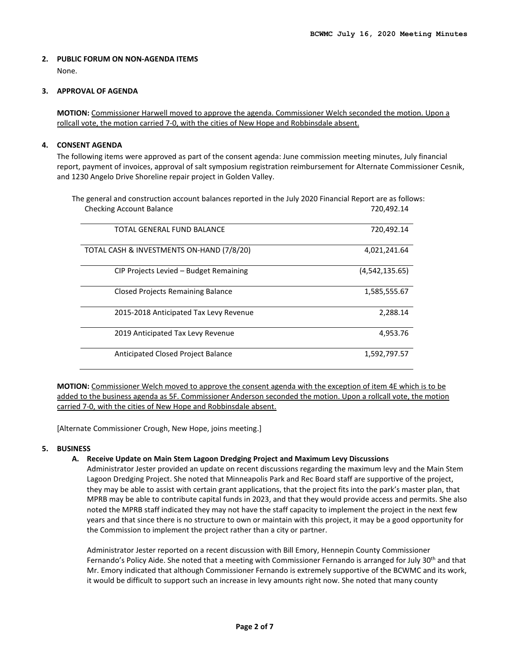# **2. PUBLIC FORUM ON NON-AGENDA ITEMS**  None.

# **3. APPROVAL OF AGENDA**

**MOTION:** Commissioner Harwell moved to approve the agenda. Commissioner Welch seconded the motion. Upon a rollcall vote, the motion carried 7-0, with the cities of New Hope and Robbinsdale absent.

# **4. CONSENT AGENDA**

The following items were approved as part of the consent agenda: June commission meeting minutes, July financial report, payment of invoices, approval of salt symposium registration reimbursement for Alternate Commissioner Cesnik, and 1230 Angelo Drive Shoreline repair project in Golden Valley.

The general and construction account balances reported in the July 2020 Financial Report are as follows: Checking Account Balance **720,492.14** and 720,492.14

| TOTAL GENERAL FUND BALANCE                | 720,492.14     |
|-------------------------------------------|----------------|
| TOTAL CASH & INVESTMENTS ON-HAND (7/8/20) | 4,021,241.64   |
| CIP Projects Levied - Budget Remaining    | (4,542,135.65) |
| <b>Closed Projects Remaining Balance</b>  | 1,585,555.67   |
| 2015-2018 Anticipated Tax Levy Revenue    | 2.288.14       |
| 2019 Anticipated Tax Levy Revenue         | 4,953.76       |
| Anticipated Closed Project Balance        | 1,592,797.57   |

**MOTION:** Commissioner Welch moved to approve the consent agenda with the exception of item 4E which is to be added to the business agenda as 5F. Commissioner Anderson seconded the motion. Upon a rollcall vote, the motion carried 7-0, with the cities of New Hope and Robbinsdale absent.

[Alternate Commissioner Crough, New Hope, joins meeting.]

# **5. BUSINESS**

# **A. Receive Update on Main Stem Lagoon Dredging Project and Maximum Levy Discussions**

Administrator Jester provided an update on recent discussions regarding the maximum levy and the Main Stem Lagoon Dredging Project. She noted that Minneapolis Park and Rec Board staff are supportive of the project, they may be able to assist with certain grant applications, that the project fits into the park's master plan, that MPRB may be able to contribute capital funds in 2023, and that they would provide access and permits. She also noted the MPRB staff indicated they may not have the staff capacity to implement the project in the next few years and that since there is no structure to own or maintain with this project, it may be a good opportunity for the Commission to implement the project rather than a city or partner.

Administrator Jester reported on a recent discussion with Bill Emory, Hennepin County Commissioner Fernando's Policy Aide. She noted that a meeting with Commissioner Fernando is arranged for July 30<sup>th</sup> and that Mr. Emory indicated that although Commissioner Fernando is extremely supportive of the BCWMC and its work, it would be difficult to support such an increase in levy amounts right now. She noted that many county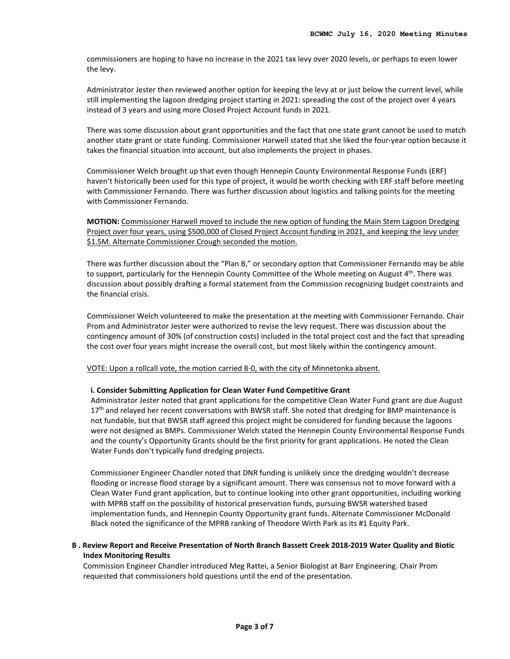commissioners are hoping to have no increase in the 2021 tax levy over 2020 levels, or perhaps to even lower the levy.

Administrator Jester then reviewed another option for keeping the levy at or just below the current level, while still implementing the lagoon dredging project starting in 2021: spreading the cost of the project over 4 years instead of 3 years and using more Closed Project Account funds in 2021.

There was some discussion about grant opportunities and the fact that one state grant cannot be used to match another state grant or state funding. Commissioner Harwell stated that she liked the four-year option because it takes the financial situation into account, but also implements the project in phases.

Commissioner Welch brought up that even though Hennepin County Environmental Response Funds (ERF) haven't historically been used for this type of project, it would be worth checking with ERF staff before meeting with Commissioner Fernando. There was further discussion about logistics and talking points for the meeting with Commissioner Fernando.

**MOTION:** Commissioner Harwell moved to include the new option of funding the Main Stem Lagoon Dredging Project over four years, using \$500,000 of Closed Project Account funding in 2021, and keeping the levy under \$1.5M. Alternate Commissioner Crough seconded the motion.

There was further discussion about the "Plan B," or secondary option that Commissioner Fernando may be able to support, particularly for the Hennepin County Committee of the Whole meeting on August 4th. There was discussion about possibly drafting a formal statement from the Commission recognizing budget constraints and the financial crisis.

Commissioner Welch volunteered to make the presentation at the meeting with Commissioner Fernando. Chair Prom and Administrator Jester were authorized to revise the levy request. There was discussion about the contingency amount of 30% (of construction costs) included in the total project cost and the fact that spreading the cost over four years might increase the overall cost, but most likely within the contingency amount.

VOTE: Upon a rollcall vote, the motion carried 8-0, with the city of Minnetonka absent.

# **i. Consider Submitting Application for Clean Water Fund Competitive Grant**

Administrator Jester noted that grant applications for the competitive Clean Water Fund grant are due August 17<sup>th</sup> and relayed her recent conversations with BWSR staff. She noted that dredging for BMP maintenance is not fundable, but that BWSR staff agreed this project might be considered for funding because the lagoons were not designed as BMPs. Commissioner Welch stated the Hennepin County Environmental Response Funds and the county's Opportunity Grants should be the first priority for grant applications. He noted the Clean Water Funds don't typically fund dredging projects.

Commissioner Engineer Chandler noted that DNR funding is unlikely since the dredging wouldn't decrease flooding or increase flood storage by a significant amount. There was consensus not to move forward with a Clean Water Fund grant application, but to continue looking into other grant opportunities, including working with MPRB staff on the possibility of historical preservation funds, pursuing BWSR watershed based implementation funds, and Hennepin County Opportunity grant funds. Alternate Commissioner McDonald Black noted the significance of the MPRB ranking of Theodore Wirth Park as its #1 Equity Park.

# **B . Review Report and Receive Presentation of North Branch Bassett Creek 2018-2019 Water Quality and Biotic Index Monitoring Results**

Commission Engineer Chandler introduced Meg Rattei, a Senior Biologist at Barr Engineering. Chair Prom requested that commissioners hold questions until the end of the presentation.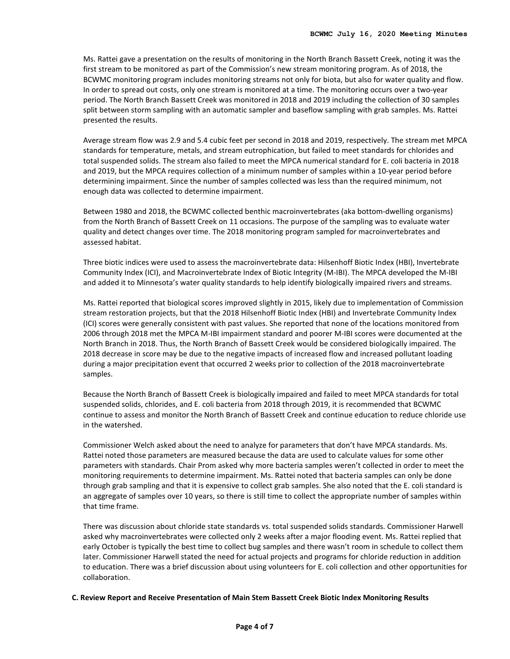Ms. Rattei gave a presentation on the results of monitoring in the North Branch Bassett Creek, noting it was the first stream to be monitored as part of the Commission's new stream monitoring program. As of 2018, the BCWMC monitoring program includes monitoring streams not only for biota, but also for water quality and flow. In order to spread out costs, only one stream is monitored at a time. The monitoring occurs over a two-year period. The North Branch Bassett Creek was monitored in 2018 and 2019 including the collection of 30 samples split between storm sampling with an automatic sampler and baseflow sampling with grab samples. Ms. Rattei presented the results.

Average stream flow was 2.9 and 5.4 cubic feet per second in 2018 and 2019, respectively. The stream met MPCA standards for temperature, metals, and stream eutrophication, but failed to meet standards for chlorides and total suspended solids. The stream also failed to meet the MPCA numerical standard for E. coli bacteria in 2018 and 2019, but the MPCA requires collection of a minimum number of samples within a 10-year period before determining impairment. Since the number of samples collected was less than the required minimum, not enough data was collected to determine impairment.

Between 1980 and 2018, the BCWMC collected benthic macroinvertebrates (aka bottom-dwelling organisms) from the North Branch of Bassett Creek on 11 occasions. The purpose of the sampling was to evaluate water quality and detect changes over time. The 2018 monitoring program sampled for macroinvertebrates and assessed habitat.

Three biotic indices were used to assess the macroinvertebrate data: Hilsenhoff Biotic Index (HBI), Invertebrate Community Index (ICI), and Macroinvertebrate Index of Biotic Integrity (M-IBI). The MPCA developed the M-IBI and added it to Minnesota's water quality standards to help identify biologically impaired rivers and streams.

Ms. Rattei reported that biological scores improved slightly in 2015, likely due to implementation of Commission stream restoration projects, but that the 2018 Hilsenhoff Biotic Index (HBI) and Invertebrate Community Index (ICI) scores were generally consistent with past values. She reported that none of the locations monitored from 2006 through 2018 met the MPCA M-IBI impairment standard and poorer M-IBI scores were documented at the North Branch in 2018. Thus, the North Branch of Bassett Creek would be considered biologically impaired. The 2018 decrease in score may be due to the negative impacts of increased flow and increased pollutant loading during a major precipitation event that occurred 2 weeks prior to collection of the 2018 macroinvertebrate samples.

Because the North Branch of Bassett Creek is biologically impaired and failed to meet MPCA standards for total suspended solids, chlorides, and E. coli bacteria from 2018 through 2019, it is recommended that BCWMC continue to assess and monitor the North Branch of Bassett Creek and continue education to reduce chloride use in the watershed.

Commissioner Welch asked about the need to analyze for parameters that don't have MPCA standards. Ms. Rattei noted those parameters are measured because the data are used to calculate values for some other parameters with standards. Chair Prom asked why more bacteria samples weren't collected in order to meet the monitoring requirements to determine impairment. Ms. Rattei noted that bacteria samples can only be done through grab sampling and that it is expensive to collect grab samples. She also noted that the E. coli standard is an aggregate of samples over 10 years, so there is still time to collect the appropriate number of samples within that time frame.

There was discussion about chloride state standards vs. total suspended solids standards. Commissioner Harwell asked why macroinvertebrates were collected only 2 weeks after a major flooding event. Ms. Rattei replied that early October is typically the best time to collect bug samples and there wasn't room in schedule to collect them later. Commissioner Harwell stated the need for actual projects and programs for chloride reduction in addition to education. There was a brief discussion about using volunteers for E. coli collection and other opportunities for collaboration.

# **C. Review Report and Receive Presentation of Main Stem Bassett Creek Biotic Index Monitoring Results**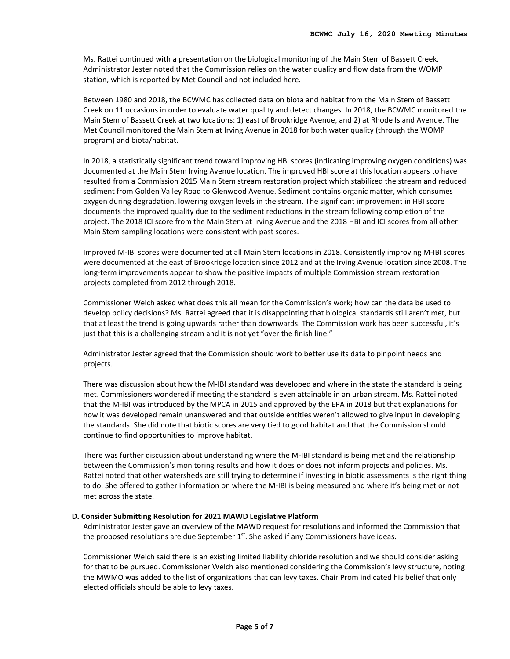Ms. Rattei continued with a presentation on the biological monitoring of the Main Stem of Bassett Creek. Administrator Jester noted that the Commission relies on the water quality and flow data from the WOMP station, which is reported by Met Council and not included here.

Between 1980 and 2018, the BCWMC has collected data on biota and habitat from the Main Stem of Bassett Creek on 11 occasions in order to evaluate water quality and detect changes. In 2018, the BCWMC monitored the Main Stem of Bassett Creek at two locations: 1) east of Brookridge Avenue, and 2) at Rhode Island Avenue. The Met Council monitored the Main Stem at Irving Avenue in 2018 for both water quality (through the WOMP program) and biota/habitat.

In 2018, a statistically significant trend toward improving HBI scores (indicating improving oxygen conditions) was documented at the Main Stem Irving Avenue location. The improved HBI score at this location appears to have resulted from a Commission 2015 Main Stem stream restoration project which stabilized the stream and reduced sediment from Golden Valley Road to Glenwood Avenue. Sediment contains organic matter, which consumes oxygen during degradation, lowering oxygen levels in the stream. The significant improvement in HBI score documents the improved quality due to the sediment reductions in the stream following completion of the project. The 2018 ICI score from the Main Stem at Irving Avenue and the 2018 HBI and ICI scores from all other Main Stem sampling locations were consistent with past scores.

Improved M-IBI scores were documented at all Main Stem locations in 2018. Consistently improving M-IBI scores were documented at the east of Brookridge location since 2012 and at the Irving Avenue location since 2008. The long-term improvements appear to show the positive impacts of multiple Commission stream restoration projects completed from 2012 through 2018.

Commissioner Welch asked what does this all mean for the Commission's work; how can the data be used to develop policy decisions? Ms. Rattei agreed that it is disappointing that biological standards still aren't met, but that at least the trend is going upwards rather than downwards. The Commission work has been successful, it's just that this is a challenging stream and it is not yet "over the finish line."

Administrator Jester agreed that the Commission should work to better use its data to pinpoint needs and projects.

There was discussion about how the M-IBI standard was developed and where in the state the standard is being met. Commissioners wondered if meeting the standard is even attainable in an urban stream. Ms. Rattei noted that the M-IBI was introduced by the MPCA in 2015 and approved by the EPA in 2018 but that explanations for how it was developed remain unanswered and that outside entities weren't allowed to give input in developing the standards. She did note that biotic scores are very tied to good habitat and that the Commission should continue to find opportunities to improve habitat.

There was further discussion about understanding where the M-IBI standard is being met and the relationship between the Commission's monitoring results and how it does or does not inform projects and policies. Ms. Rattei noted that other watersheds are still trying to determine if investing in biotic assessments is the right thing to do. She offered to gather information on where the M-IBI is being measured and where it's being met or not met across the state.

#### **D. Consider Submitting Resolution for 2021 MAWD Legislative Platform**

Administrator Jester gave an overview of the MAWD request for resolutions and informed the Commission that the proposed resolutions are due September 1<sup>st</sup>. She asked if any Commissioners have ideas.

Commissioner Welch said there is an existing limited liability chloride resolution and we should consider asking for that to be pursued. Commissioner Welch also mentioned considering the Commission's levy structure, noting the MWMO was added to the list of organizations that can levy taxes. Chair Prom indicated his belief that only elected officials should be able to levy taxes.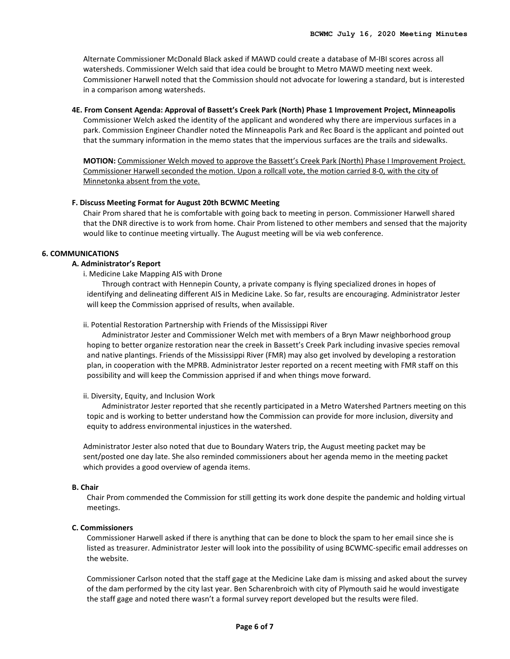Alternate Commissioner McDonald Black asked if MAWD could create a database of M-IBI scores across all watersheds. Commissioner Welch said that idea could be brought to Metro MAWD meeting next week. Commissioner Harwell noted that the Commission should not advocate for lowering a standard, but is interested in a comparison among watersheds.

#### **4E. From Consent Agenda: Approval of Bassett's Creek Park (North) Phase 1 Improvement Project, Minneapolis**

Commissioner Welch asked the identity of the applicant and wondered why there are impervious surfaces in a park. Commission Engineer Chandler noted the Minneapolis Park and Rec Board is the applicant and pointed out that the summary information in the memo states that the impervious surfaces are the trails and sidewalks.

**MOTION:** Commissioner Welch moved to approve the Bassett's Creek Park (North) Phase I Improvement Project. Commissioner Harwell seconded the motion. Upon a rollcall vote, the motion carried 8-0, with the city of Minnetonka absent from the vote.

#### **F. Discuss Meeting Format for August 20th BCWMC Meeting**

Chair Prom shared that he is comfortable with going back to meeting in person. Commissioner Harwell shared that the DNR directive is to work from home. Chair Prom listened to other members and sensed that the majority would like to continue meeting virtually. The August meeting will be via web conference.

# **6. COMMUNICATIONS**

#### **A. Administrator's Report**

i. Medicine Lake Mapping AIS with Drone

Through contract with Hennepin County, a private company is flying specialized drones in hopes of identifying and delineating different AIS in Medicine Lake. So far, results are encouraging. Administrator Jester will keep the Commission apprised of results, when available.

#### ii. Potential Restoration Partnership with Friends of the Mississippi River

Administrator Jester and Commissioner Welch met with members of a Bryn Mawr neighborhood group hoping to better organize restoration near the creek in Bassett's Creek Park including invasive species removal and native plantings. Friends of the Mississippi River (FMR) may also get involved by developing a restoration plan, in cooperation with the MPRB. Administrator Jester reported on a recent meeting with FMR staff on this possibility and will keep the Commission apprised if and when things move forward.

#### ii. Diversity, Equity, and Inclusion Work

Administrator Jester reported that she recently participated in a Metro Watershed Partners meeting on this topic and is working to better understand how the Commission can provide for more inclusion, diversity and equity to address environmental injustices in the watershed.

Administrator Jester also noted that due to Boundary Waters trip, the August meeting packet may be sent/posted one day late. She also reminded commissioners about her agenda memo in the meeting packet which provides a good overview of agenda items.

#### **B. Chair**

Chair Prom commended the Commission for still getting its work done despite the pandemic and holding virtual meetings.

#### **C. Commissioners**

Commissioner Harwell asked if there is anything that can be done to block the spam to her email since she is listed as treasurer. Administrator Jester will look into the possibility of using BCWMC-specific email addresses on the website.

Commissioner Carlson noted that the staff gage at the Medicine Lake dam is missing and asked about the survey of the dam performed by the city last year. Ben Scharenbroich with city of Plymouth said he would investigate the staff gage and noted there wasn't a formal survey report developed but the results were filed.